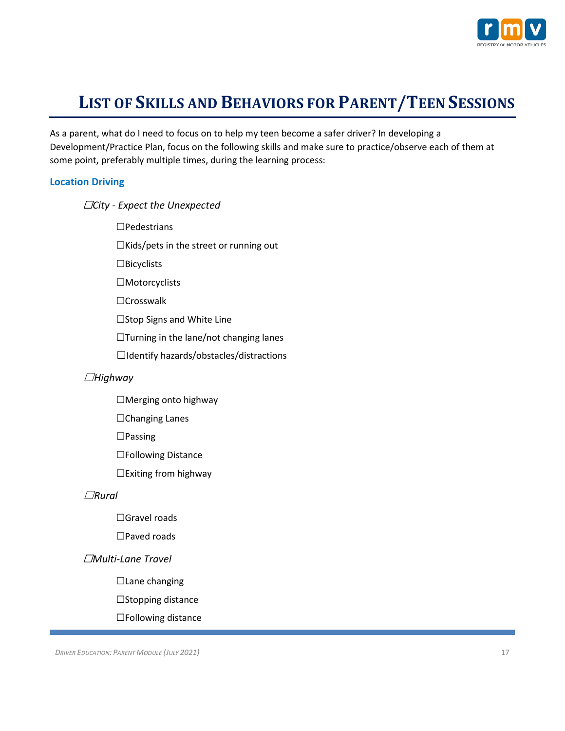

# **LIST OF SKILLS AND BEHAVIORS FOR PARENT/TEEN SESSIONS**

As a parent, what do I need to focus on to help my teen become a safer driver? In developing a Development/Practice Plan, focus on the following skills and make sure to practice/observe each of them at some point, preferably multiple times, during the learning process:

## **Location Driving**

տ*City - Expect the Unexpected*

 $\Box$ Pedestrians

 $\Box$ Kids/pets in the street or running out

 $\square$ Bicyclists

 $\Box$ Motorcyclists

□Crosswalk

 $\square$ Stop Signs and White Line

 $\Box$ Turning in the lane/not changing lanes

܆Identify hazards/obstacles/distractions

## *Highway*܆

 $\Box$ Merging onto highway

 $\Box$ Changing Lanes

 $\Box$ Passing

□Following Distance

 $\Box$ Exiting from highway

#### *Rural*܆

□ Gravel roads

 $\square$ Paved roads

## տ*Multi-Lane Travel*

□ Lane changing

 $\square$ Stopping distance

 $\Box$ Following distance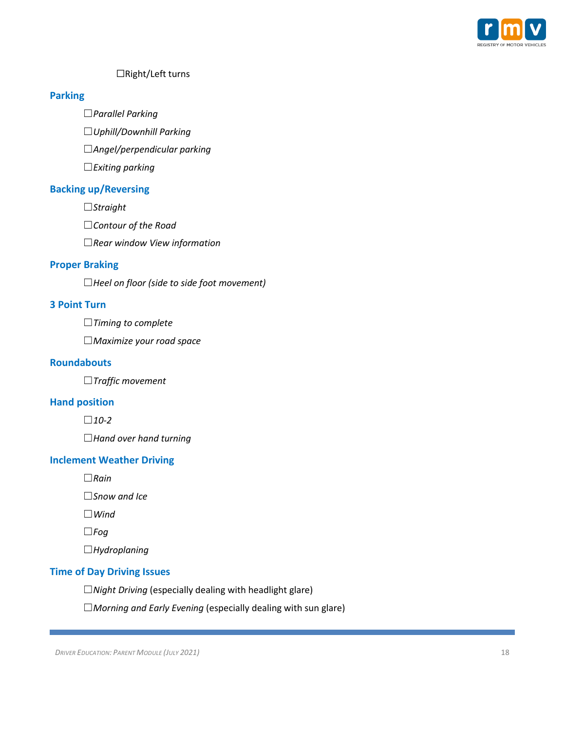

## $\Box$ Right/Left turns

#### **Parking**

܆*Parallel Parking*

܆*Uphill/Downhill Parking*

܆*Angel/perpendicular parking*

܆*Exiting parking*

## **Backing up/Reversing**

*Straight*܆

܆*Contour of the Road*

܆*Rear window View information*

## **Proper Braking**

܆*Heel on floor (side to side foot movement)*

## **3 Point Turn**

܆*Timing to complete* 

܆*Maximize your road space*

## **Roundabouts**

܆*Traffic movement* 

#### **Hand position**

 $\Box$ 10-2

܆*Hand over hand turning*

#### **Inclement Weather Driving**

*Rain*܆

܆*Snow and Ice*

*Wind*܆

 $\square$ *Fog* 

*Hydroplaning*܆

#### **Time of Day Driving Issues**

܆*Night Driving* (especially dealing with headlight glare)

܆*Morning and Early Evening* (especially dealing with sun glare)